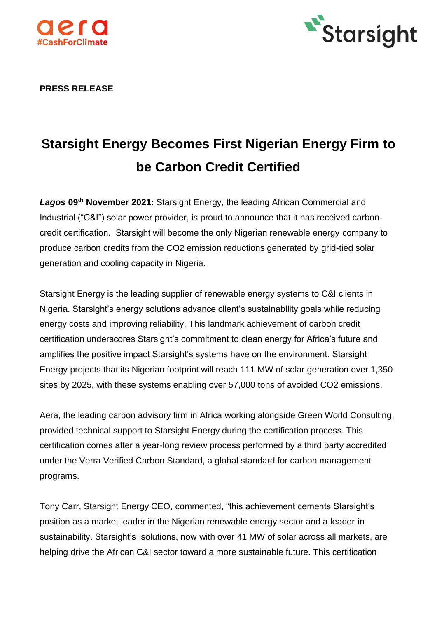



**PRESS RELEASE** 

# **Starsight Energy Becomes First Nigerian Energy Firm to be Carbon Credit Certified**

*Lagos* **09th November 2021:** Starsight Energy, the leading African Commercial and Industrial ("C&I") solar power provider, is proud to announce that it has received carboncredit certification. Starsight will become the only Nigerian renewable energy company to produce carbon credits from the CO2 emission reductions generated by grid-tied solar generation and cooling capacity in Nigeria.

Starsight Energy is the leading supplier of renewable energy systems to C&I clients in Nigeria. Starsight's energy solutions advance client's sustainability goals while reducing energy costs and improving reliability. This landmark achievement of carbon credit certification underscores Starsight's commitment to clean energy for Africa's future and amplifies the positive impact Starsight's systems have on the environment. Starsight Energy projects that its Nigerian footprint will reach 111 MW of solar generation over 1,350 sites by 2025, with these systems enabling over 57,000 tons of avoided CO2 emissions.

Aera, the leading carbon advisory firm in Africa working alongside Green World Consulting, provided technical support to Starsight Energy during the certification process. This certification comes after a year-long review process performed by a third party accredited under the Verra Verified Carbon Standard, a global standard for carbon management programs.

Tony Carr, Starsight Energy CEO, commented, "this achievement cements Starsight's position as a market leader in the Nigerian renewable energy sector and a leader in sustainability. Starsight's solutions, now with over 41 MW of solar across all markets, are helping drive the African C&I sector toward a more sustainable future. This certification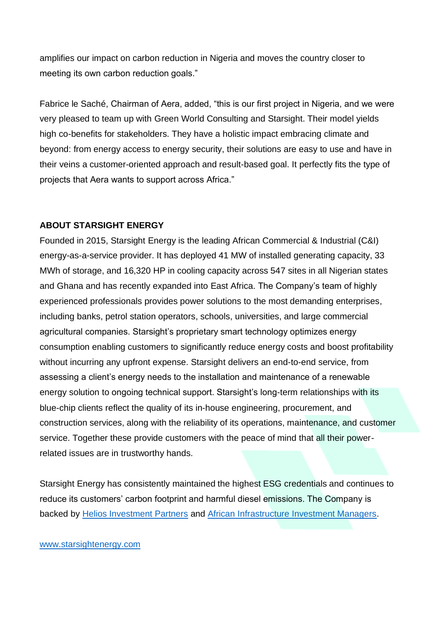amplifies our impact on carbon reduction in Nigeria and moves the country closer to meeting its own carbon reduction goals."

Fabrice le Saché, Chairman of Aera, added, "this is our first project in Nigeria, and we were very pleased to team up with Green World Consulting and Starsight. Their model yields high co-benefits for stakeholders. They have a holistic impact embracing climate and beyond: from energy access to energy security, their solutions are easy to use and have in their veins a customer-oriented approach and result-based goal. It perfectly fits the type of projects that Aera wants to support across Africa."

## **ABOUT STARSIGHT ENERGY**

Founded in 2015, Starsight Energy is the leading African Commercial & Industrial (C&I) energy-as-a-service provider. It has deployed 41 MW of installed generating capacity, 33 MWh of storage, and 16,320 HP in cooling capacity across 547 sites in all Nigerian states and Ghana and has recently expanded into East Africa. The Company's team of highly experienced professionals provides power solutions to the most demanding enterprises, including banks, petrol station operators, schools, universities, and large commercial agricultural companies. Starsight's proprietary smart technology optimizes energy consumption enabling customers to significantly reduce energy costs and boost profitability without incurring any upfront expense. Starsight delivers an end-to-end service, from assessing a client's energy needs to the installation and maintenance of a renewable energy solution to ongoing technical support. Starsight's long-term relationships with its blue-chip clients reflect the quality of its in-house engineering, procurement, and construction services, along with the reliability of its operations, maintenance, and customer service. Together these provide customers with the peace of mind that all their powerrelated issues are in trustworthy hands.

Starsight Energy has consistently maintained the highest ESG credentials and continues to reduce its customers' carbon footprint and harmful diesel emissions. The Company is backed by [Helios Investment Partners](https://www.heliosinvestment.com/) and African [Infrastructure Investment Managers.](https://aiimafrica.com/)

#### [www.starsightenergy.com](http://www.starsightenergy.com/)